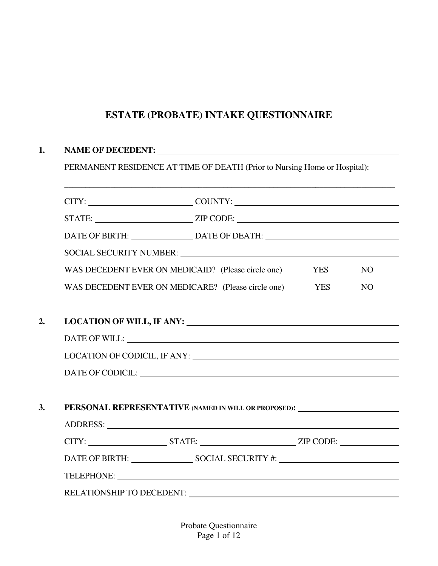## **ESTATE (PROBATE) INTAKE QUESTIONNAIRE**

## **1. NAME OF DECEDENT:**

PERMANENT RESIDENCE AT TIME OF DEATH (Prior to Nursing Home or Hospital):

\_\_\_\_\_\_\_\_\_\_\_\_\_\_\_\_\_\_\_\_\_\_\_\_\_\_\_\_\_\_\_\_\_\_\_\_\_\_\_\_\_\_\_\_\_\_\_\_\_\_\_\_\_\_\_\_\_\_\_\_\_\_\_\_\_\_\_\_\_\_\_\_\_\_\_\_\_\_\_

|    | STATE: ________________________________ZIP CODE: ________________________________                                                                                                                                              |            |     |
|----|--------------------------------------------------------------------------------------------------------------------------------------------------------------------------------------------------------------------------------|------------|-----|
|    | DATE OF BIRTH: _______________________DATE OF DEATH: ____________________________                                                                                                                                              |            |     |
|    | SOCIAL SECURITY NUMBER: VALUE AND A SOCIAL SECURITY NUMBER:                                                                                                                                                                    |            |     |
|    | WAS DECEDENT EVER ON MEDICAID? (Please circle one)                                                                                                                                                                             | <b>YES</b> | NO. |
|    | WAS DECEDENT EVER ON MEDICARE? (Please circle one)                                                                                                                                                                             | <b>YES</b> | NO  |
|    |                                                                                                                                                                                                                                |            |     |
| 2. |                                                                                                                                                                                                                                |            |     |
|    |                                                                                                                                                                                                                                |            |     |
|    |                                                                                                                                                                                                                                |            |     |
|    | DATE OF CODICIL: University of the CODICIL CONTROL CONTROL CONTROL CONTROL CONTROL CONTROL CONTROL CONTROL CONTROL CONTROL CONTROL CONTROL CONTROL CONTROL CONTROL CONTROL CONTROL CONTROL CONTROL CONTROL CONTROL CONTROL CON |            |     |
|    |                                                                                                                                                                                                                                |            |     |
| 3. | PERSONAL REPRESENTATIVE (NAMED IN WILL OR PROPOSED): ____________________________                                                                                                                                              |            |     |
|    |                                                                                                                                                                                                                                |            |     |
|    | CITY: ________________________STATE: __________________________________ZIP CODE: ___________________                                                                                                                           |            |     |
|    |                                                                                                                                                                                                                                |            |     |
|    | TELEPHONE:                                                                                                                                                                                                                     |            |     |
|    | RELATIONSHIP TO DECEDENT: University of the set of the set of the set of the set of the set of the set of the set of the set of the set of the set of the set of the set of the set of the set of the set of the set of the se |            |     |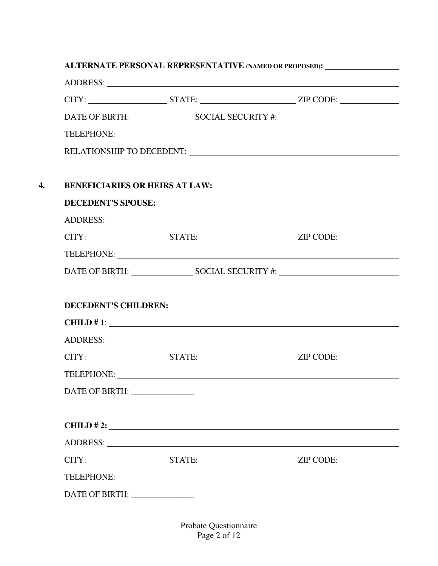# **ALTERNATE PERSONAL REPRESENTATIVE (NAMED OR PROPOSED):** ADDRESS: CITY: STATE: ZIP CODE: DATE OF BIRTH: SOCIAL SECURITY #: TELEPHONE: RELATIONSHIP TO DECEDENT: **4. BENEFICIARIES OR HEIRS AT LAW: DECEDENT'S SPOUSE:** ADDRESS: CITY: STATE: ZIP CODE: TELEPHONE: DATE OF BIRTH: SOCIAL SECURITY #: **DECEDENT'S CHILDREN: CHILD # 1**: ADDRESS: Universe of the set of the set of the set of the set of the set of the set of the set of the set of the set of the set of the set of the set of the set of the set of the set of the set of the set of the set of the CITY: STATE: ZIP CODE: TELEPHONE: DATE OF BIRTH: \_\_\_\_\_\_\_\_\_\_\_\_\_\_\_

| CHILD # 2: $\qquad \qquad$ |        |           |  |
|----------------------------|--------|-----------|--|
|                            |        |           |  |
| CITY:                      | STATE: | ZIP CODE: |  |
|                            |        |           |  |
| DATE OF BIRTH:             |        |           |  |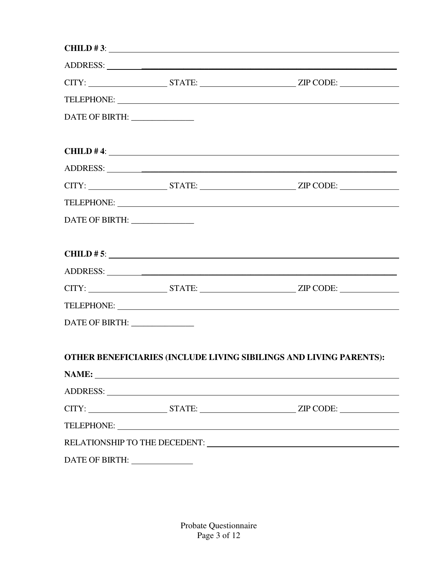|                                |                                                                                                                                                                                                                               | CHILD #3: $\qquad \qquad$                                                                                                                                                                                                      |
|--------------------------------|-------------------------------------------------------------------------------------------------------------------------------------------------------------------------------------------------------------------------------|--------------------------------------------------------------------------------------------------------------------------------------------------------------------------------------------------------------------------------|
|                                |                                                                                                                                                                                                                               | ADDRESS: New York Contract to the Contract of the Contract of the Contract of the Contract of the Contract of the Contract of the Contract of the Contract of the Contract of the Contract of the Contract of the Contract of  |
|                                |                                                                                                                                                                                                                               | CITY: _______________________STATE: _________________________________ZIP CODE: _____________________                                                                                                                           |
|                                |                                                                                                                                                                                                                               |                                                                                                                                                                                                                                |
| DATE OF BIRTH: ______________  |                                                                                                                                                                                                                               |                                                                                                                                                                                                                                |
|                                |                                                                                                                                                                                                                               |                                                                                                                                                                                                                                |
|                                |                                                                                                                                                                                                                               | $CHILD$ # 4:                                                                                                                                                                                                                   |
|                                |                                                                                                                                                                                                                               |                                                                                                                                                                                                                                |
|                                |                                                                                                                                                                                                                               | $CITY:$ $STATE:$ $ZIP CODE:$                                                                                                                                                                                                   |
|                                |                                                                                                                                                                                                                               |                                                                                                                                                                                                                                |
| DATE OF BIRTH:                 |                                                                                                                                                                                                                               |                                                                                                                                                                                                                                |
|                                |                                                                                                                                                                                                                               |                                                                                                                                                                                                                                |
|                                |                                                                                                                                                                                                                               | CHILD # 5: $\overline{\phantom{a}}$                                                                                                                                                                                            |
|                                |                                                                                                                                                                                                                               |                                                                                                                                                                                                                                |
|                                |                                                                                                                                                                                                                               |                                                                                                                                                                                                                                |
|                                |                                                                                                                                                                                                                               | TELEPHONE: New York Contract the Contract of the Contract of the Contract of the Contract of the Contract of the Contract of the Contract of the Contract of the Contract of the Contract of the Contract of the Contract of t |
| DATE OF BIRTH: ______________  |                                                                                                                                                                                                                               |                                                                                                                                                                                                                                |
|                                |                                                                                                                                                                                                                               |                                                                                                                                                                                                                                |
|                                |                                                                                                                                                                                                                               | OTHER BENEFICIARIES (INCLUDE LIVING SIBILINGS AND LIVING PARENTS):                                                                                                                                                             |
|                                | NAME:                                                                                                                                                                                                                         |                                                                                                                                                                                                                                |
|                                | ADDRESS: University of the state of the state of the state of the state of the state of the state of the state of the state of the state of the state of the state of the state of the state of the state of the state of the |                                                                                                                                                                                                                                |
|                                |                                                                                                                                                                                                                               | CITY: ___________________________STATE: __________________________________ZIP CODE: ________________                                                                                                                           |
|                                |                                                                                                                                                                                                                               |                                                                                                                                                                                                                                |
|                                |                                                                                                                                                                                                                               |                                                                                                                                                                                                                                |
| DATE OF BIRTH: _______________ |                                                                                                                                                                                                                               |                                                                                                                                                                                                                                |

Probate Questionnaire Page 3 of 12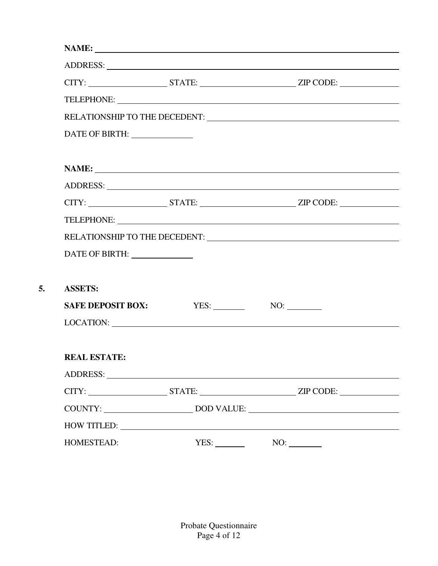|                                 |      | CITY: ________________________STATE: _________________________________ZIP CODE: ____________________                                                                                                                           |  |
|---------------------------------|------|--------------------------------------------------------------------------------------------------------------------------------------------------------------------------------------------------------------------------------|--|
|                                 |      |                                                                                                                                                                                                                                |  |
|                                 |      |                                                                                                                                                                                                                                |  |
| DATE OF BIRTH:                  |      |                                                                                                                                                                                                                                |  |
|                                 |      |                                                                                                                                                                                                                                |  |
|                                 |      |                                                                                                                                                                                                                                |  |
|                                 |      |                                                                                                                                                                                                                                |  |
|                                 |      | CITY: ___________________________STATE: _________________________________ZIP CODE: _________________                                                                                                                           |  |
|                                 |      |                                                                                                                                                                                                                                |  |
|                                 |      |                                                                                                                                                                                                                                |  |
| DATE OF BIRTH: ________________ |      |                                                                                                                                                                                                                                |  |
|                                 |      |                                                                                                                                                                                                                                |  |
| <b>ASSETS:</b>                  |      |                                                                                                                                                                                                                                |  |
| <b>SAFE DEPOSIT BOX:</b>        | YES: | NO:                                                                                                                                                                                                                            |  |
|                                 |      |                                                                                                                                                                                                                                |  |
|                                 |      |                                                                                                                                                                                                                                |  |
| <b>REAL ESTATE:</b>             |      |                                                                                                                                                                                                                                |  |
|                                 |      | ADDRESS: New York Contract the Contract of the Contract of the Contract of the Contract of the Contract of the Contract of the Contract of the Contract of the Contract of the Contract of the Contract of the Contract of the |  |
|                                 |      | CITY: ________________________STATE: _________________________________ZIP CODE: ____________________                                                                                                                           |  |
|                                 |      | COUNTY: ___________________________________DOD VALUE: ___________________________                                                                                                                                              |  |
|                                 |      | HOW TITLED: NOW TITLED:                                                                                                                                                                                                        |  |
| HOMESTEAD:                      | YES: |                                                                                                                                                                                                                                |  |

**5. ASSETS:**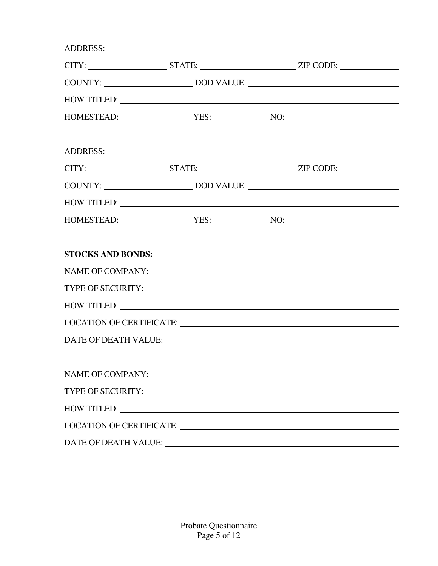|                          |                                                                                                                                                                                                                                | CITY: ___________________________STATE: __________________________________ZIP CODE: ________________                                                                                                                           |
|--------------------------|--------------------------------------------------------------------------------------------------------------------------------------------------------------------------------------------------------------------------------|--------------------------------------------------------------------------------------------------------------------------------------------------------------------------------------------------------------------------------|
|                          |                                                                                                                                                                                                                                |                                                                                                                                                                                                                                |
|                          |                                                                                                                                                                                                                                | HOW TITLED:                                                                                                                                                                                                                    |
| HOMESTEAD:               | $\text{YES:}$ NO:                                                                                                                                                                                                              |                                                                                                                                                                                                                                |
|                          |                                                                                                                                                                                                                                |                                                                                                                                                                                                                                |
|                          |                                                                                                                                                                                                                                | $CITY:$ $STATE:$ $ZIP CODE:$                                                                                                                                                                                                   |
|                          |                                                                                                                                                                                                                                |                                                                                                                                                                                                                                |
|                          |                                                                                                                                                                                                                                | HOW TITLED: NAME OF STRAINING STRAINING STRAINING STRAINING STRAINING STRAINING STRAINING STRAINING STRAINING STRAINING STRAINING STRAINING STRAINING STRAINING STRAINING STRAINING STRAINING STRAINING STRAINING STRAINING ST |
| HOMESTEAD:               | $\text{YES:}$ NO: NO:                                                                                                                                                                                                          |                                                                                                                                                                                                                                |
| <b>STOCKS AND BONDS:</b> |                                                                                                                                                                                                                                |                                                                                                                                                                                                                                |
|                          |                                                                                                                                                                                                                                |                                                                                                                                                                                                                                |
|                          |                                                                                                                                                                                                                                | HOW TITLED:                                                                                                                                                                                                                    |
|                          |                                                                                                                                                                                                                                |                                                                                                                                                                                                                                |
|                          |                                                                                                                                                                                                                                |                                                                                                                                                                                                                                |
|                          | NAME OF COMPANY: NAME OF COMPANY:                                                                                                                                                                                              |                                                                                                                                                                                                                                |
|                          |                                                                                                                                                                                                                                |                                                                                                                                                                                                                                |
|                          | HOW TITLED: NAME OF STRAINING STRAINING STRAINING STRAINING STRAINING STRAINING STRAINING STRAINING STRAINING STRAINING STRAINING STRAINING STRAINING STRAINING STRAINING STRAINING STRAINING STRAINING STRAINING STRAINING ST |                                                                                                                                                                                                                                |
|                          |                                                                                                                                                                                                                                |                                                                                                                                                                                                                                |
|                          |                                                                                                                                                                                                                                |                                                                                                                                                                                                                                |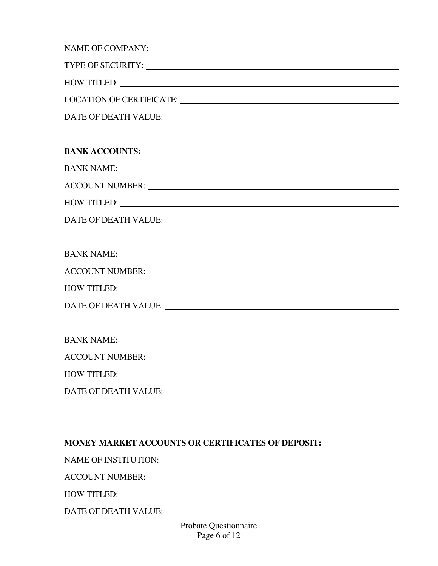|                      | LOCATION OF CERTIFICATE: |
|----------------------|--------------------------|
| DATE OF DEATH VALUE: |                          |

#### **BANK ACCOUNTS:**

| <b>BANK NAME:</b>      |  |  |
|------------------------|--|--|
| <b>ACCOUNT NUMBER:</b> |  |  |

HOW TITLED:

DATE OF DEATH VALUE:

| <b>BANK NAME:</b>      |  |
|------------------------|--|
| <b>ACCOUNT NUMBER:</b> |  |
| <b>HOW TITLED:</b>     |  |
| DATE OF DEATH VALUE:   |  |

| <b>BANK NAME:</b>      | <u>and the state of the state of the state of the state of the state of the state of the state of the state of th</u> |  |
|------------------------|-----------------------------------------------------------------------------------------------------------------------|--|
| <b>ACCOUNT NUMBER:</b> |                                                                                                                       |  |
| <b>HOW TITLED:</b>     |                                                                                                                       |  |
| DATE OF DEATH VALUE:   |                                                                                                                       |  |

#### **MONEY MARKET ACCOUNTS OR CERTIFICATES OF DEPOSIT:**

NAME OF INSTITUTION:

ACCOUNT NUMBER:

HOW TITLED:

DATE OF DEATH VALUE: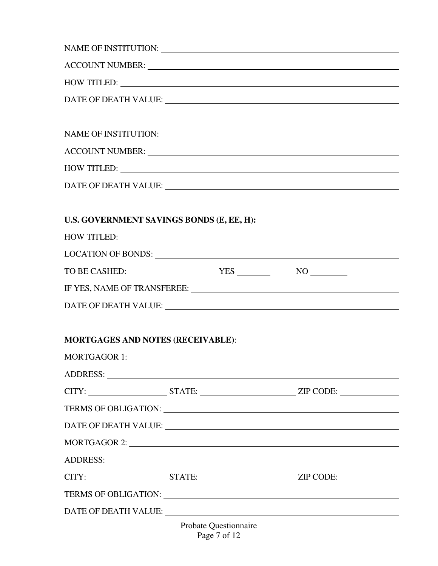| NAME OF INSTITUTION: LEARNING CONTROL IN THE SERVICE OF INSTITUTION:                                                                                                                                                           |                       |  |  |  |  |
|--------------------------------------------------------------------------------------------------------------------------------------------------------------------------------------------------------------------------------|-----------------------|--|--|--|--|
|                                                                                                                                                                                                                                |                       |  |  |  |  |
| HOW TITLED: NOW TITLED:                                                                                                                                                                                                        |                       |  |  |  |  |
|                                                                                                                                                                                                                                |                       |  |  |  |  |
|                                                                                                                                                                                                                                |                       |  |  |  |  |
|                                                                                                                                                                                                                                |                       |  |  |  |  |
|                                                                                                                                                                                                                                |                       |  |  |  |  |
| HOW TITLED:                                                                                                                                                                                                                    |                       |  |  |  |  |
|                                                                                                                                                                                                                                |                       |  |  |  |  |
|                                                                                                                                                                                                                                |                       |  |  |  |  |
| U.S. GOVERNMENT SAVINGS BONDS (E, EE, H):                                                                                                                                                                                      |                       |  |  |  |  |
| HOW TITLED: NAME OF PROPERTY ASSESSED.                                                                                                                                                                                         |                       |  |  |  |  |
|                                                                                                                                                                                                                                |                       |  |  |  |  |
| TO BE CASHED:                                                                                                                                                                                                                  | $YES$ NO NO           |  |  |  |  |
|                                                                                                                                                                                                                                |                       |  |  |  |  |
|                                                                                                                                                                                                                                |                       |  |  |  |  |
|                                                                                                                                                                                                                                |                       |  |  |  |  |
| <b>MORTGAGES AND NOTES (RECEIVABLE):</b>                                                                                                                                                                                       |                       |  |  |  |  |
| MORTGAGOR 1:                                                                                                                                                                                                                   |                       |  |  |  |  |
|                                                                                                                                                                                                                                |                       |  |  |  |  |
|                                                                                                                                                                                                                                |                       |  |  |  |  |
| TERMS OF OBLIGATION: University of the Second Second Second Second Second Second Second Second Second Second Second Second Second Second Second Second Second Second Second Second Second Second Second Second Second Second S |                       |  |  |  |  |
|                                                                                                                                                                                                                                |                       |  |  |  |  |
| MORTGAGOR 2:                                                                                                                                                                                                                   |                       |  |  |  |  |
|                                                                                                                                                                                                                                |                       |  |  |  |  |
| CITY: __________________________STATE: __________________________________ZIP CODE: _________________                                                                                                                           |                       |  |  |  |  |
| TERMS OF OBLIGATION: University of the Second Second Second Second Second Second Second Second Second Second Second Second Second Second Second Second Second Second Second Second Second Second Second Second Second Second S |                       |  |  |  |  |
| DATE OF DEATH VALUE: University of the SATE OF DEATH VALUE:                                                                                                                                                                    |                       |  |  |  |  |
|                                                                                                                                                                                                                                | Probate Questionnaire |  |  |  |  |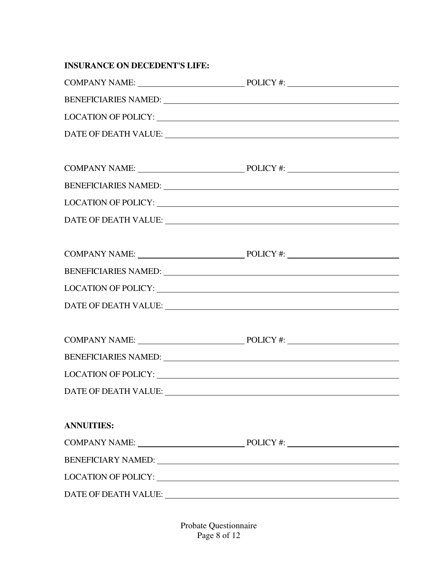| <b>INSURANCE ON DECEDENT'S LIFE:</b>                                                                                                                                                                                           |                                                                                                                                                                                                                                |
|--------------------------------------------------------------------------------------------------------------------------------------------------------------------------------------------------------------------------------|--------------------------------------------------------------------------------------------------------------------------------------------------------------------------------------------------------------------------------|
|                                                                                                                                                                                                                                |                                                                                                                                                                                                                                |
|                                                                                                                                                                                                                                | BENEFICIARIES NAMED: VALUE AND ANNO 1999 AND ANNO 1999 AND ANNO 1999 AND ANNO 1999 AND ANNO 1999 AND ANNO 1999                                                                                                                 |
|                                                                                                                                                                                                                                |                                                                                                                                                                                                                                |
|                                                                                                                                                                                                                                |                                                                                                                                                                                                                                |
|                                                                                                                                                                                                                                |                                                                                                                                                                                                                                |
|                                                                                                                                                                                                                                |                                                                                                                                                                                                                                |
|                                                                                                                                                                                                                                | BENEFICIARIES NAMED: University of the service of the service of the service of the service of the service of the service of the service of the service of the service of the service of the service of the service of the ser |
|                                                                                                                                                                                                                                |                                                                                                                                                                                                                                |
|                                                                                                                                                                                                                                |                                                                                                                                                                                                                                |
|                                                                                                                                                                                                                                |                                                                                                                                                                                                                                |
| BENEFICIARIES NAMED: University of the Second Property of the Second Property of the Second Property of the Second Property of the Second Property of the Second Property of the Second Property of the Second Property of the |                                                                                                                                                                                                                                |
|                                                                                                                                                                                                                                | LOCATION OF POLICY: University of the Contract of the Contract of the Contract of the Contract of the Contract of the Contract of the Contract of the Contract of the Contract of the Contract of the Contract of the Contract |
|                                                                                                                                                                                                                                |                                                                                                                                                                                                                                |
|                                                                                                                                                                                                                                |                                                                                                                                                                                                                                |
|                                                                                                                                                                                                                                |                                                                                                                                                                                                                                |
|                                                                                                                                                                                                                                | BENEFICIARIES NAMED: University of the set of the set of the set of the set of the set of the set of the set of the set of the set of the set of the set of the set of the set of the set of the set of the set of the set of  |
|                                                                                                                                                                                                                                | LOCATION OF POLICY: UNIVERSITY OF A SERIES AND THE SERIES OF A SERIES OF A SERIES OF A SERIES OF A SERIES OF A SERIES OF A SERIES OF A SERIES OF A SERIES OF A SERIES OF A SERIES OF A SERIES OF A SERIES OF A SERIES OF A SER |
| DATE OF DEATH VALUE: University of the contract of the contract of the contract of the contract of the contract of the contract of the contract of the contract of the contract of the contract of the contract of the contrac |                                                                                                                                                                                                                                |
|                                                                                                                                                                                                                                |                                                                                                                                                                                                                                |
| <b>ANNUITIES:</b>                                                                                                                                                                                                              |                                                                                                                                                                                                                                |
|                                                                                                                                                                                                                                |                                                                                                                                                                                                                                |
|                                                                                                                                                                                                                                |                                                                                                                                                                                                                                |
|                                                                                                                                                                                                                                |                                                                                                                                                                                                                                |
| DATE OF DEATH VALUE: University of the contract of the contract of the contract of the contract of the contract of the contract of the contract of the contract of the contract of the contract of the contract of the contrac |                                                                                                                                                                                                                                |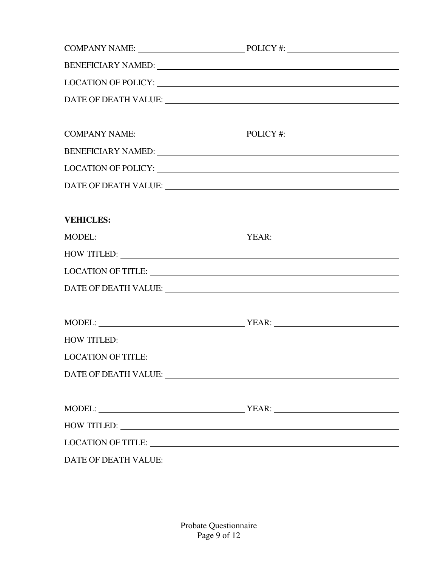|                  | COMPANY NAME: POLICY #:                                                                                                                                                                                                                                                                                                                                                  |
|------------------|--------------------------------------------------------------------------------------------------------------------------------------------------------------------------------------------------------------------------------------------------------------------------------------------------------------------------------------------------------------------------|
|                  | BENEFICIARY NAMED: University of the contract of the contract of the contract of the contract of the contract of the contract of the contract of the contract of the contract of the contract of the contract of the contract                                                                                                                                            |
|                  |                                                                                                                                                                                                                                                                                                                                                                          |
|                  | $\textbf{DATE OF DEATH VALUE:}\footnotesize\begin{picture}(10,10) \label{fig:2} \end{picture}$                                                                                                                                                                                                                                                                           |
|                  |                                                                                                                                                                                                                                                                                                                                                                          |
|                  | COMPANY NAME: POLICY #:                                                                                                                                                                                                                                                                                                                                                  |
|                  | BENEFICIARY NAMED: University of the contract of the contract of the contract of the contract of the contract of the contract of the contract of the contract of the contract of the contract of the contract of the contract                                                                                                                                            |
|                  |                                                                                                                                                                                                                                                                                                                                                                          |
|                  |                                                                                                                                                                                                                                                                                                                                                                          |
|                  |                                                                                                                                                                                                                                                                                                                                                                          |
| <b>VEHICLES:</b> |                                                                                                                                                                                                                                                                                                                                                                          |
|                  | $\text{MODEL:}\begin{picture}(180,10) \put(0,0){\dashbox{0.5}(10,0){ }} \put(15,0){\dashbox{0.5}(10,0){ }} \put(15,0){\dashbox{0.5}(10,0){ }} \put(15,0){\dashbox{0.5}(10,0){ }} \put(15,0){\dashbox{0.5}(10,0){ }} \put(15,0){\dashbox{0.5}(10,0){ }} \put(15,0){\dashbox{0.5}(10,0){ }} \put(15,0){\dashbox{0.5}(10,0){ }} \put(15,0){\dashbox{0.5}(10,0){ }} \put(15$ |
|                  | HOW TITLED: NAME OF STRAINING STRAINING STRAINING STRAINING STRAINING STRAINING STRAINING STRAINING STRAINING STRAINING STRAINING STRAINING STRAINING STRAINING STRAINING STRAINING STRAINING STRAINING STRAINING STRAINING ST                                                                                                                                           |
|                  | LOCATION OF TITLE: UNIVERSITY OF TITLE OF THE SERVICE OF TITLE OF THE SERVICE OF THE SERVICE OF THE SERVICE OF THE SERVICE OF THE SERVICE OF THE SERVICE OF THE SERVICE OF THE SERVICE OF THE SERVICE OF THE SERVICE OF THE SE                                                                                                                                           |
|                  | $\textbf{DATE OF DEATH VALUE:}\footnotesize\begin{picture}(10,10) \label{fig:2} \end{picture}$                                                                                                                                                                                                                                                                           |
|                  |                                                                                                                                                                                                                                                                                                                                                                          |
|                  | $\text{MODEL:}\begin{picture}(10,10) \put(0,0){\vector(1,0){100}} \put(15,0){\vector(1,0){100}} \put(15,0){\vector(1,0){100}} \put(15,0){\vector(1,0){100}} \put(15,0){\vector(1,0){100}} \put(15,0){\vector(1,0){100}} \put(15,0){\vector(1,0){100}} \put(15,0){\vector(1,0){100}} \put(15,0){\vector(1,0){100}} \put(15,0){\vector(1,0){100}} \put(15,0){\vector(1,0$  |
|                  | HOW TITLED:                                                                                                                                                                                                                                                                                                                                                              |
|                  |                                                                                                                                                                                                                                                                                                                                                                          |
|                  | DATE OF DEATH VALUE: University of the Second Second Second Second Second Second Second Second Second Second Second Second Second Second Second Second Second Second Second Second Second Second Second Second Second Second S                                                                                                                                           |
|                  |                                                                                                                                                                                                                                                                                                                                                                          |
|                  |                                                                                                                                                                                                                                                                                                                                                                          |
|                  | HOW TITLED: NAME OF STRAINING STRAINING STRAINING STRAINING STRAINING STRAINING STRAINING STRAINING STRAINING STRAINING STRAINING STRAINING STRAINING STRAINING STRAINING STRAINING STRAINING STRAINING STRAINING STRAINING ST                                                                                                                                           |
|                  | LOCATION OF TITLE: University of the contract of the contract of the contract of the contract of the contract of the contract of the contract of the contract of the contract of the contract of the contract of the contract                                                                                                                                            |
|                  |                                                                                                                                                                                                                                                                                                                                                                          |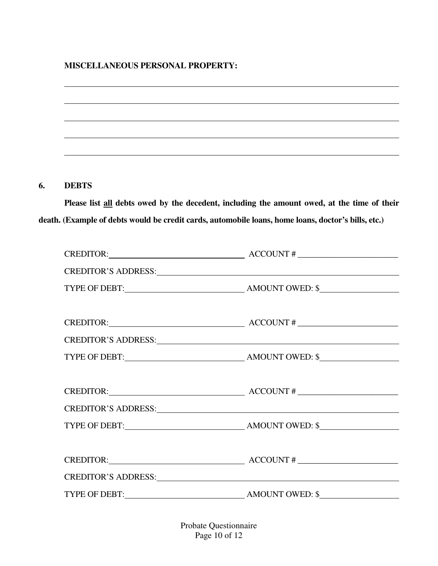#### **MISCELLANEOUS PERSONAL PROPERTY:**

#### **6. DEBTS**

**Please list all debts owed by the decedent, including the amount owed, at the time of their death. (Example of debts would be credit cards, automobile loans, home loans, doctor's bills, etc.)**

| $CREDITOR:$ $\qquad \qquad \qquad$ $\qquad \qquad$ $\qquad \qquad$ $\qquad \qquad$ $\qquad \qquad$ $\qquad \qquad$ $\qquad \qquad$ $\qquad \qquad$ $\qquad \qquad$ $\qquad \qquad$ $\qquad \qquad$ $\qquad \qquad$ $\qquad \qquad$ $\qquad \qquad$ $\qquad \qquad$ $\qquad \qquad$ $\qquad \qquad$ $\qquad \qquad$ $\qquad \qquad$ $\qquad \qquad$ $\qquad \qquad$ $\qquad \qquad$ $\qquad \qquad$ $\qquad$ |  |
|-------------------------------------------------------------------------------------------------------------------------------------------------------------------------------------------------------------------------------------------------------------------------------------------------------------------------------------------------------------------------------------------------------------|--|
|                                                                                                                                                                                                                                                                                                                                                                                                             |  |
|                                                                                                                                                                                                                                                                                                                                                                                                             |  |
|                                                                                                                                                                                                                                                                                                                                                                                                             |  |
| $CREDITOR:$ $\qquad \qquad \qquad$ $\qquad \qquad$ $\qquad \qquad$ $\qquad \qquad$ $\qquad \qquad$ $\qquad \qquad$ $\qquad \qquad$ $\qquad \qquad$ $\qquad \qquad$ $\qquad \qquad$ $\qquad \qquad$ $\qquad \qquad$ $\qquad \qquad$ $\qquad \qquad$ $\qquad \qquad$ $\qquad \qquad$ $\qquad \qquad$ $\qquad \qquad$ $\qquad \qquad$ $\qquad \qquad$ $\qquad \qquad$ $\qquad \qquad$ $\qquad \qquad$ $\qquad$ |  |
|                                                                                                                                                                                                                                                                                                                                                                                                             |  |
|                                                                                                                                                                                                                                                                                                                                                                                                             |  |
|                                                                                                                                                                                                                                                                                                                                                                                                             |  |
| $CREDITOR:$ $ACCOUNT #$                                                                                                                                                                                                                                                                                                                                                                                     |  |
| CREDITOR'S ADDRESS: New York CREDITOR'S ADDRESS:                                                                                                                                                                                                                                                                                                                                                            |  |
|                                                                                                                                                                                                                                                                                                                                                                                                             |  |
|                                                                                                                                                                                                                                                                                                                                                                                                             |  |
| $CREDITOR:$ $\qquad \qquad \qquad$ $\qquad \qquad$ $\qquad \qquad$ $\qquad \qquad$ $\qquad \qquad$ $\qquad \qquad$ $\qquad \qquad$ $\qquad \qquad$ $\qquad \qquad$ $\qquad \qquad$ $\qquad \qquad$ $\qquad \qquad$ $\qquad \qquad$ $\qquad \qquad$ $\qquad \qquad$ $\qquad \qquad$ $\qquad \qquad$ $\qquad \qquad$ $\qquad \qquad$ $\qquad \qquad$ $\qquad \qquad$ $\qquad \qquad$ $\qquad \qquad$ $\qquad$ |  |
|                                                                                                                                                                                                                                                                                                                                                                                                             |  |
|                                                                                                                                                                                                                                                                                                                                                                                                             |  |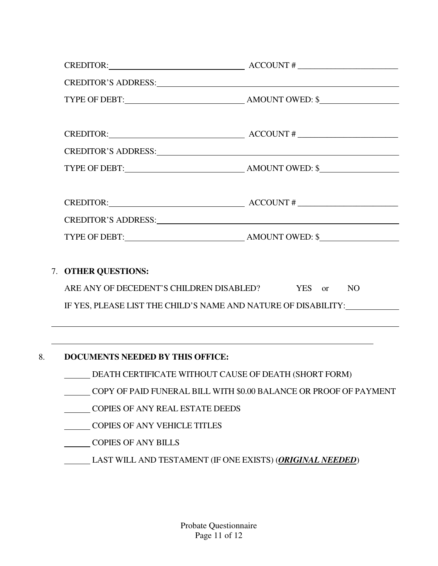|    |                                                                                                                                                                                                                                                                                                                                                                                                                                                                                                              | $CREDITOR:$ $ACCOUNT #$                                                                                                                                                                                                                                                                                                                                                                                     |  |
|----|--------------------------------------------------------------------------------------------------------------------------------------------------------------------------------------------------------------------------------------------------------------------------------------------------------------------------------------------------------------------------------------------------------------------------------------------------------------------------------------------------------------|-------------------------------------------------------------------------------------------------------------------------------------------------------------------------------------------------------------------------------------------------------------------------------------------------------------------------------------------------------------------------------------------------------------|--|
|    | CREDITOR'S ADDRESS: New York CREDITOR'S ADDRESS:                                                                                                                                                                                                                                                                                                                                                                                                                                                             |                                                                                                                                                                                                                                                                                                                                                                                                             |  |
|    |                                                                                                                                                                                                                                                                                                                                                                                                                                                                                                              |                                                                                                                                                                                                                                                                                                                                                                                                             |  |
|    |                                                                                                                                                                                                                                                                                                                                                                                                                                                                                                              | $CREDITOR:$ $\qquad \qquad \qquad$ $\qquad \qquad$ $\qquad \qquad$ $\qquad \qquad$ $\qquad \qquad$ $\qquad \qquad$ $\qquad \qquad$ $\qquad \qquad$ $\qquad \qquad$ $\qquad \qquad$ $\qquad \qquad$ $\qquad \qquad$ $\qquad \qquad$ $\qquad \qquad$ $\qquad \qquad$ $\qquad \qquad$ $\qquad \qquad$ $\qquad \qquad$ $\qquad \qquad$ $\qquad \qquad$ $\qquad \qquad$ $\qquad \qquad$ $\qquad \qquad$ $\qquad$ |  |
|    | CREDITOR'S ADDRESS: New York CREDITOR'S ADDRESS:                                                                                                                                                                                                                                                                                                                                                                                                                                                             |                                                                                                                                                                                                                                                                                                                                                                                                             |  |
|    |                                                                                                                                                                                                                                                                                                                                                                                                                                                                                                              |                                                                                                                                                                                                                                                                                                                                                                                                             |  |
|    |                                                                                                                                                                                                                                                                                                                                                                                                                                                                                                              | $CREDITOR:$ $\qquad \qquad \qquad$ $\qquad \qquad$ $\qquad \qquad$ $\qquad \qquad$ $\qquad \qquad$ $\qquad \qquad$ $\qquad \qquad$ $\qquad \qquad$ $\qquad \qquad$ $\qquad \qquad$ $\qquad \qquad$ $\qquad \qquad$ $\qquad \qquad$ $\qquad \qquad$ $\qquad \qquad$ $\qquad \qquad$ $\qquad \qquad$ $\qquad \qquad$ $\qquad \qquad$ $\qquad \qquad$ $\qquad \qquad$ $\qquad \qquad$ $\qquad \qquad$ $\qquad$ |  |
|    | CREDITOR'S ADDRESS: New York CREDITOR'S ADDRESS:                                                                                                                                                                                                                                                                                                                                                                                                                                                             |                                                                                                                                                                                                                                                                                                                                                                                                             |  |
|    |                                                                                                                                                                                                                                                                                                                                                                                                                                                                                                              |                                                                                                                                                                                                                                                                                                                                                                                                             |  |
|    | 7. OTHER QUESTIONS:<br>ARE ANY OF DECEDENT'S CHILDREN DISABLED? YES or NO<br>IF YES, PLEASE LIST THE CHILD'S NAME AND NATURE OF DISABILITY:                                                                                                                                                                                                                                                                                                                                                                  |                                                                                                                                                                                                                                                                                                                                                                                                             |  |
| 8. | <u> 1989 - Jan Salaman Salaman (j. 1989)</u><br><u> 1989 - Johann Harry Harry Harry Harry Harry Harry Harry Harry Harry Harry Harry Harry Harry Harry Harry Harry</u><br>DOCUMENTS NEEDED BY THIS OFFICE:<br>DEATH CERTIFICATE WITHOUT CAUSE OF DEATH (SHORT FORM)<br>COPY OF PAID FUNERAL BILL WITH \$0.00 BALANCE OR PROOF OF PAYMENT<br>COPIES OF ANY REAL ESTATE DEEDS<br><b>COPIES OF ANY VEHICLE TITLES</b><br><b>COPIES OF ANY BILLS</b><br>LAST WILL AND TESTAMENT (IF ONE EXISTS) (ORIGINAL NEEDED) |                                                                                                                                                                                                                                                                                                                                                                                                             |  |